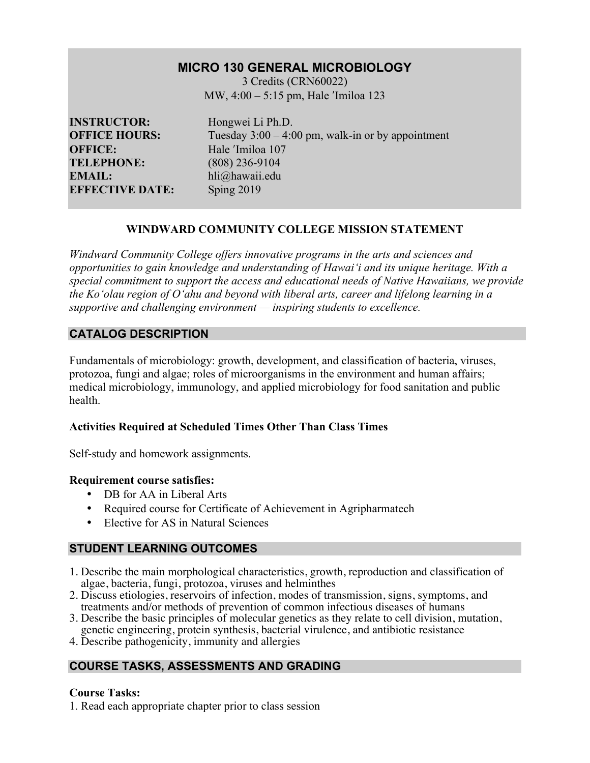# **MICRO 130 GENERAL MICROBIOLOGY**

3 Credits (CRN60022) MW, 4:00 – 5:15 pm, Hale 'Imiloa 123

**INSTRUCTOR:** Hongwei Li Ph.D. **OFFICE:** Hale <sup>'Imiloa</sup> 107 **TELEPHONE:** (808) 236-9104 **EMAIL:** hli@hawaii.edu **EFFECTIVE DATE:** Sping 2019

**OFFICE HOURS:** Tuesday 3:00 – 4:00 pm, walk-in or by appointment

# **WINDWARD COMMUNITY COLLEGE MISSION STATEMENT**

*Windward Community College offers innovative programs in the arts and sciences and opportunities to gain knowledge and understanding of Hawai'i and its unique heritage. With a special commitment to support the access and educational needs of Native Hawaiians, we provide the Ko'olau region of Oʻahu and beyond with liberal arts, career and lifelong learning in a supportive and challenging environment — inspiring students to excellence.*

# **CATALOG DESCRIPTION**

Fundamentals of microbiology: growth, development, and classification of bacteria, viruses, protozoa, fungi and algae; roles of microorganisms in the environment and human affairs; medical microbiology, immunology, and applied microbiology for food sanitation and public health.

### **Activities Required at Scheduled Times Other Than Class Times**

Self-study and homework assignments.

### **Requirement course satisfies:**

- DB for AA in Liberal Arts
- Required course for Certificate of Achievement in Agripharmatech
- Elective for AS in Natural Sciences

# **STUDENT LEARNING OUTCOMES**

- 1. Describe the main morphological characteristics, growth, reproduction and classification of algae, bacteria, fungi, protozoa, viruses and helminthes
- 2. Discuss etiologies, reservoirs of infection, modes of transmission, signs, symptoms, and treatments and/or methods of prevention of common infectious diseases of humans
- 3. Describe the basic principles of molecular genetics as they relate to cell division, mutation, genetic engineering, protein synthesis, bacterial virulence, and antibiotic resistance
- 4. Describe pathogenicity, immunity and allergies

# **COURSE TASKS, ASSESSMENTS AND GRADING**

# **Course Tasks:**

1. Read each appropriate chapter prior to class session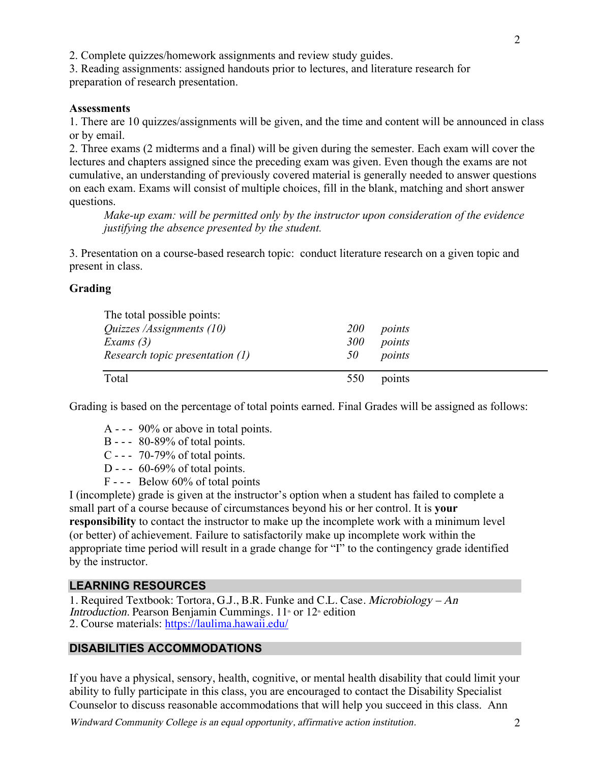2. Complete quizzes/homework assignments and review study guides.

3. Reading assignments: assigned handouts prior to lectures, and literature research for preparation of research presentation.

#### **Assessments**

1. There are 10 quizzes/assignments will be given, and the time and content will be announced in class or by email.

2. Three exams (2 midterms and a final) will be given during the semester. Each exam will cover the lectures and chapters assigned since the preceding exam was given. Even though the exams are not cumulative, an understanding of previously covered material is generally needed to answer questions on each exam. Exams will consist of multiple choices, fill in the blank, matching and short answer questions.

*Make-up exam: will be permitted only by the instructor upon consideration of the evidence justifying the absence presented by the student.*

3. Presentation on a course-based research topic: conduct literature research on a given topic and present in class.

#### **Grading**

| The total possible points:       |            |        |
|----------------------------------|------------|--------|
| <i>Quizzes /Assignments (10)</i> | <i>200</i> | points |
| Exams $(3)$                      | 300        | points |
| Research topic presentation (1)  | 50         | points |
| Total                            | 550        | points |

Grading is based on the percentage of total points earned. Final Grades will be assigned as follows:

- A - 90% or above in total points.
- B - 80-89% of total points.
- C - 70-79% of total points.
- D -  $60-69\%$  of total points.
- F - Below 60% of total points

I (incomplete) grade is given at the instructor's option when a student has failed to complete a small part of a course because of circumstances beyond his or her control. It is **your responsibility** to contact the instructor to make up the incomplete work with a minimum level (or better) of achievement. Failure to satisfactorily make up incomplete work within the appropriate time period will result in a grade change for "I" to the contingency grade identified by the instructor.

#### **LEARNING RESOURCES**

1. Required Textbook: Tortora, G.J., B.R. Funke and C.L. Case. Microbiology – An Introduction. Pearson Benjamin Cummings.  $11<sup>th</sup>$  or  $12<sup>th</sup>$  edition 2. Course materials: https://laulima.hawaii.edu/

### **DISABILITIES ACCOMMODATIONS**

If you have a physical, sensory, health, cognitive, or mental health disability that could limit your ability to fully participate in this class, you are encouraged to contact the Disability Specialist Counselor to discuss reasonable accommodations that will help you succeed in this class. Ann

Windward Community College is an equal opportunity, affirmative action institution. 2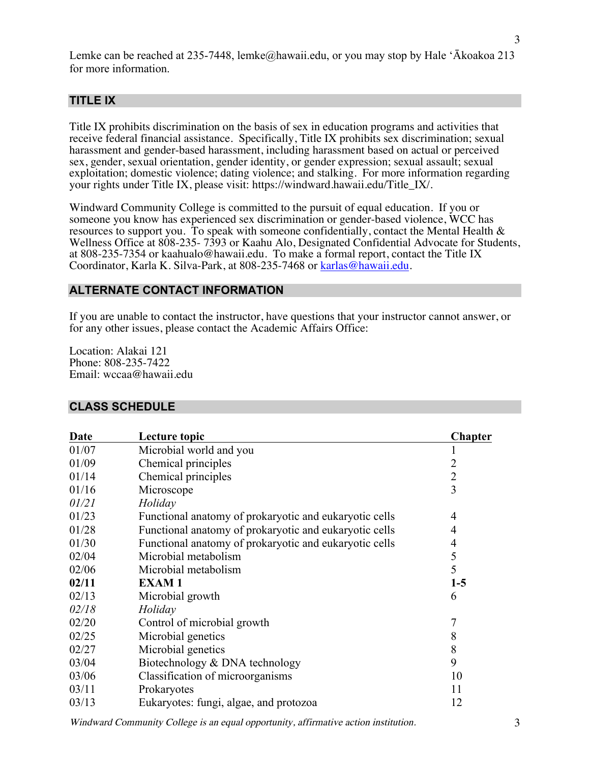Lemke can be reached at 235-7448, lemke@hawaii.edu, or you may stop by Hale 'Ākoakoa 213 for more information.

### **TITLE IX**

Title IX prohibits discrimination on the basis of sex in education programs and activities that receive federal financial assistance. Specifically, Title IX prohibits sex discrimination; sexual harassment and gender-based harassment, including harassment based on actual or perceived sex, gender, sexual orientation, gender identity, or gender expression; sexual assault; sexual exploitation; domestic violence; dating violence; and stalking. For more information regarding your rights under Title IX, please visit: https://windward.hawaii.edu/Title\_IX/.

Windward Community College is committed to the pursuit of equal education. If you or someone you know has experienced sex discrimination or gender-based violence, WCC has resources to support you. To speak with someone confidentially, contact the Mental Health  $\&$ Wellness Office at 808-235- 7393 or Kaahu Alo, Designated Confidential Advocate for Students, at 808-235-7354 or kaahualo@hawaii.edu. To make a formal report, contact the Title IX Coordinator, Karla K. Silva-Park, at 808-235-7468 or karlas@hawaii.edu.

#### **ALTERNATE CONTACT INFORMATION**

If you are unable to contact the instructor, have questions that your instructor cannot answer, or for any other issues, please contact the Academic Affairs Office:

Location: Alakai 121 Phone: 808-235-7422 Email: wccaa@hawaii.edu

#### **CLASS SCHEDULE**

| Date  | Lecture topic                                          | <b>Chapter</b> |
|-------|--------------------------------------------------------|----------------|
| 01/07 | Microbial world and you                                |                |
| 01/09 | Chemical principles                                    | $\overline{2}$ |
| 01/14 | Chemical principles                                    | $\overline{2}$ |
| 01/16 | Microscope                                             | 3              |
| 01/21 | Holiday                                                |                |
| 01/23 | Functional anatomy of prokaryotic and eukaryotic cells | 4              |
| 01/28 | Functional anatomy of prokaryotic and eukaryotic cells | 4              |
| 01/30 | Functional anatomy of prokaryotic and eukaryotic cells | 4              |
| 02/04 | Microbial metabolism                                   | 5              |
| 02/06 | Microbial metabolism                                   | 5              |
| 02/11 | <b>EXAM1</b>                                           | $1-5$          |
| 02/13 | Microbial growth                                       | 6              |
| 02/18 | Holiday                                                |                |
| 02/20 | Control of microbial growth                            | 7              |
| 02/25 | Microbial genetics                                     | 8              |
| 02/27 | Microbial genetics                                     | 8              |
| 03/04 | Biotechnology & DNA technology                         | 9              |
| 03/06 | Classification of microorganisms                       | 10             |
| 03/11 | Prokaryotes                                            | 11             |
| 03/13 | Eukaryotes: fungi, algae, and protozoa                 | 12             |

Windward Community College is an equal opportunity, affirmative action institution. 3